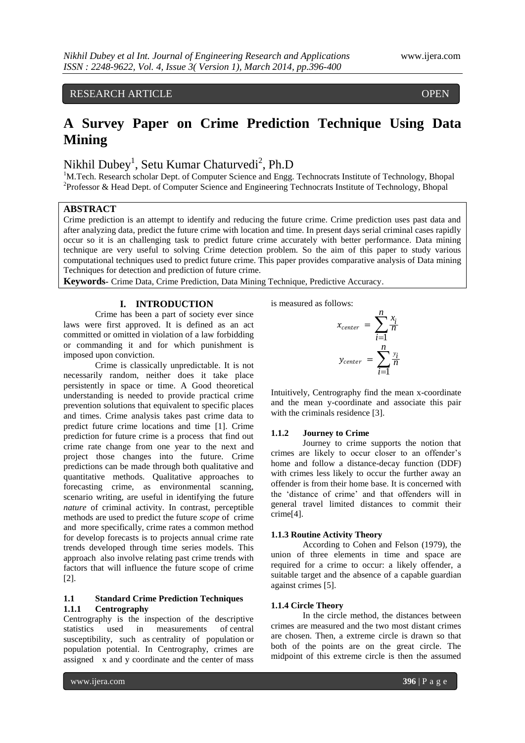RESEARCH ARTICLE OPEN

# **A Survey Paper on Crime Prediction Technique Using Data Mining**

## Nikhil Dubey<sup>1</sup>, Setu Kumar Chaturvedi<sup>2</sup>, Ph.D

<sup>1</sup>M.Tech. Research scholar Dept. of Computer Science and Engg. Technocrats Institute of Technology, Bhopal <sup>2</sup>Professor & Head Dept. of Computer Science and Engineering Technocrats Institute of Technology, Bhopal

## **ABSTRACT**

ACCESS

Crime prediction is an attempt to identify and reducing the future crime. Crime prediction uses past data and after analyzing data, predict the future crime with location and time. In present days serial criminal cases rapidly occur so it is an challenging task to predict future crime accurately with better performance. Data mining technique are very useful to solving Crime detection problem. So the aim of this paper to study various computational techniques used to predict future crime. This paper provides comparative analysis of Data mining Techniques for detection and prediction of future crime.

**Keywords-** Crime Data, Crime Prediction, Data Mining Technique, Predictive Accuracy.

## **I. INTRODUCTION**

Crime has been a part of society ever since laws were first approved. It is defined as an act committed or omitted in violation of a law forbidding or commanding it and for which punishment is imposed upon conviction.

Crime is classically unpredictable. It is not necessarily random, neither does it take place persistently in space or time. A Good theoretical understanding is needed to provide practical crime prevention solutions that equivalent to specific places and times. Crime analysis takes past crime data to predict future crime locations and time [1]. Crime prediction for future crime is a process that find out crime rate change from one year to the next and project those changes into the future. Crime predictions can be made through both qualitative and quantitative methods. Qualitative approaches to forecasting crime, as environmental scanning, scenario writing, are useful in identifying the future *nature* of criminal activity. In contrast, perceptible methods are used to predict the future *scope* of crime and more specifically, crime rates a common method for develop forecasts is to projects annual crime rate trends developed through time series models. This approach also involve relating past crime trends with factors that will influence the future scope of crime [2].

#### **1.1 Standard Crime Prediction Techniques 1.1.1 Centrography**

Centrography is the inspection of the descriptive statistics used in measurements of [central](http://www.answers.com/topic/central-tendency-1)  susceptibility, such as [centrality of population](http://www.answers.com/topic/centrality-of-population) or [population potential.](http://www.answers.com/topic/population-potential) In Centrography, crimes are assigned x and y coordinate and the center of mass

is measured as follows:

$$
x_{center} = \sum_{i=1}^{n} \frac{x_i}{n}
$$

$$
y_{center} = \sum_{i=1}^{n} \frac{y_i}{n}
$$

Intuitively, Centrography find the mean x-coordinate and the mean y-coordinate and associate this pair with the criminals residence [3].

#### **1.1.2 Journey to Crime**

Journey to crime supports the notion that crimes are likely to occur closer to an offender's home and follow a distance-decay function (DDF) with crimes less likely to occur the further away an offender is from their home base. It is concerned with the 'distance of crime' and that offenders will in general travel limited distances to commit their crime[4].

#### **1.1.3 Routine Activity Theory**

According to Cohen and Felson (1979), the union of three elements in time and space are required for a crime to occur: a likely offender, a suitable target and the absence of a capable guardian against crimes [5].

#### **1.1.4 Circle Theory**

In the circle method, the distances between crimes are measured and the two most distant crimes are chosen. Then, a extreme circle is drawn so that both of the points are on the great circle. The midpoint of this extreme circle is then the assumed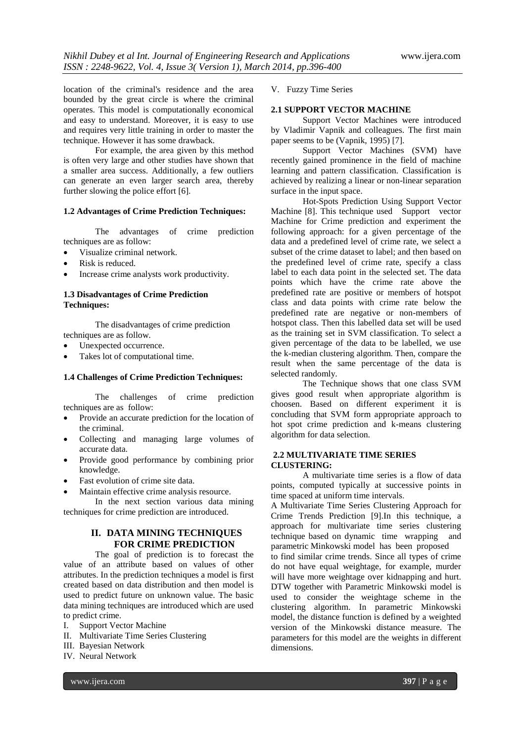location of the criminal's residence and the area bounded by the great circle is where the criminal operates. This model is computationally economical and easy to understand. Moreover, it is easy to use and requires very little training in order to master the technique. However it has some drawback.

For example, the area given by this method is often very large and other studies have shown that a smaller area success. Additionally, a few outliers can generate an even larger search area, thereby further slowing the police effort [6].

#### **1.2 Advantages of Crime Prediction Techniques:**

The advantages of crime prediction techniques are as follow:

- Visualize criminal network.
- Risk is reduced.
- Increase crime analysts work productivity.

## **1.3 Disadvantages of Crime Prediction Techniques:**

The disadvantages of crime prediction techniques are as follow.

- Unexpected occurrence.
- Takes lot of computational time.

#### **1.4 Challenges of Crime Prediction Techniques:**

The challenges of crime prediction techniques are as follow:

- Provide an accurate prediction for the location of the criminal.
- Collecting and managing large volumes of accurate data.
- Provide good performance by combining prior knowledge.
- Fast evolution of crime site data.
- Maintain effective crime analysis resource.

In the next section various data mining techniques for crime prediction are introduced.

## **II. DATA MINING TECHNIQUES FOR CRIME PREDICTION**

The goal of prediction is to forecast the value of an attribute based on values of other attributes. In the prediction techniques a model is first created based on data distribution and then model is used to predict future on unknown value. The basic data mining techniques are introduced which are used to predict crime.

- I. Support Vector Machine
- II. Multivariate Time Series Clustering
- III. Bayesian Network
- IV. Neural Network

V. Fuzzy Time Series

#### **2.1 SUPPORT VECTOR MACHINE**

Support Vector Machines were introduced by Vladimir Vapnik and colleagues. The first main paper seems to be (Vapnik, 1995) [7].

Support Vector Machines (SVM) have recently gained prominence in the field of machine learning and pattern classification. Classification is achieved by realizing a linear or non-linear separation surface in the input space.

Hot-Spots Prediction Using Support Vector Machine [8]. This technique used Support vector Machine for Crime prediction and experiment the following approach: for a given percentage of the data and a predefined level of crime rate, we select a subset of the crime dataset to label; and then based on the predefined level of crime rate, specify a class label to each data point in the selected set. The data points which have the crime rate above the predefined rate are positive or members of hotspot class and data points with crime rate below the predefined rate are negative or non-members of hotspot class. Then this labelled data set will be used as the training set in SVM classification. To select a given percentage of the data to be labelled, we use the k-median clustering algorithm. Then, compare the result when the same percentage of the data is selected randomly.

The Technique shows that one class SVM gives good result when appropriate algorithm is choosen. Based on different experiment it is concluding that SVM form appropriate approach to hot spot crime prediction and k-means clustering algorithm for data selection.

### **2.2 MULTIVARIATE TIME SERIES CLUSTERING:**

A multivariate time series is a flow of data points, computed typically at successive points in time spaced at uniform time intervals.

A Multivariate Time Series Clustering Approach for Crime Trends Prediction [9].In this technique, a approach for multivariate time series clustering technique based on dynamic time wrapping and parametric Minkowski model has been proposed

to find similar crime trends. Since all types of crime do not have equal weightage, for example, murder will have more weightage over kidnapping and hurt. DTW together with Parametric Minkowski model is used to consider the weightage scheme in the clustering algorithm. In parametric Minkowski model, the distance function is defined by a weighted version of the Minkowski distance measure. The parameters for this model are the weights in different dimensions.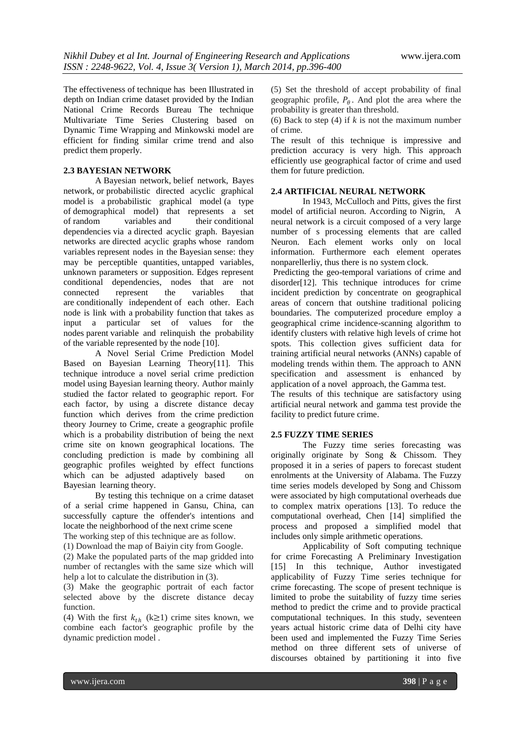The effectiveness of technique has been Illustrated in depth on Indian crime dataset provided by the Indian National Crime Records Bureau The technique Multivariate Time Series Clustering based on Dynamic Time Wrapping and Minkowski model are efficient for finding similar crime trend and also predict them properly.

### **2.3 BAYESIAN NETWORK**

A Bayesian network, belief network, Bayes network, or probabilistic directed acyclic graphical model is a [probabilistic graphical model](http://en.wikipedia.org/wiki/Graphical_model) (a type of [demographical model\)](http://en.wikipedia.org/wiki/Statistical_model) that represents a set of [random variables](http://en.wikipedia.org/wiki/Random_variables) and their [conditional](http://en.wikipedia.org/wiki/Conditional_independence)  [dependencies](http://en.wikipedia.org/wiki/Conditional_independence) via a [directed acyclic graph.](http://en.wikipedia.org/wiki/Directed_acyclic_graph) Bayesian networks are [directed acyclic graphs](http://en.wikipedia.org/wiki/Directed_acyclic_graph) whose [random](http://en.wikipedia.org/wiki/Random_variables)  [variables](http://en.wikipedia.org/wiki/Random_variables) represent nodes in the [Bayesian](http://en.wikipedia.org/wiki/Bayesian_probability) sense: they may be perceptible quantities, [untapped variables,](http://en.wikipedia.org/wiki/Latent_variable) unknown parameters or supposition. Edges represent conditional dependencies, nodes that are not connected represent the variables that are [conditionally independent](http://en.wikipedia.org/wiki/Conditional_independence) of each other. Each node is link with a [probability function](http://en.wikipedia.org/wiki/Probability_function) that takes as input a particular set of values for the nodes [parent](http://en.wikipedia.org/wiki/Glossary_of_graph_theory#Directed_acyclic_graphs) variable and relinquish the probability of the variable represented by the node [10].

A Novel Serial Crime Prediction Model Based on Bayesian Learning Theory[11]. This technique introduce a novel serial crime prediction model using Bayesian learning theory. Author mainly studied the factor related to geographic report. For each factor, by using a discrete distance decay function which derives from the crime prediction theory Journey to Crime, create a geographic profile which is a probability distribution of being the next crime site on known geographical locations. The concluding prediction is made by combining all geographic profiles weighted by effect functions which can be adjusted adaptively based on Bayesian learning theory.

By testing this technique on a crime dataset of a serial crime happened in Gansu, China, can successfully capture the offender's intentions and locate the neighborhood of the next crime scene

The working step of this technique are as follow.

(1) Download the map of Baiyin city from Google.

(2) Make the populated parts of the map gridded into number of rectangles with the same size which will help a lot to calculate the distribution in (3).

(3) Make the geographic portrait of each factor selected above by the discrete distance decay function.

(4) With the first  $k_{th}$  (k≥1) crime sites known, we combine each factor's geographic profile by the dynamic prediction model .

(5) Set the threshold of accept probability of final geographic profile,  $P_{\theta}$ . And plot the area where the probability is greater than threshold.

(6) Back to step (4) if *k* is not the maximum number of crime.

The result of this technique is impressive and prediction accuracy is very high. This approach efficiently use geographical factor of crime and used them for future prediction.

#### **2.4 ARTIFICIAL NEURAL NETWORK**

In 1943, McCulloch and Pitts, gives the first model of artificial neuron. According to Nigrin, A neural network is a circuit composed of a very large number of s processing elements that are called Neuron. Each element works only on local information. Furthermore each element operates nonparellerliy, thus there is no system clock.

Predicting the geo-temporal variations of crime and disorder[12]. This technique introduces for crime incident prediction by concentrate on geographical areas of concern that outshine traditional policing boundaries. The computerized procedure employ a geographical crime incidence-scanning algorithm to identify clusters with relative high levels of crime hot spots. This collection gives sufficient data for training artificial neural networks (ANNs) capable of modeling trends within them. The approach to ANN specification and assessment is enhanced by application of a novel approach, the Gamma test.

The results of this technique are satisfactory using artificial neural network and gamma test provide the facility to predict future crime.

#### **2.5 FUZZY TIME SERIES**

The Fuzzy time series forecasting was originally originate by Song & Chissom. They proposed it in a series of papers to forecast student enrolments at the University of Alabama. The Fuzzy time series models developed by Song and Chissom were associated by high computational overheads due to complex matrix operations [13]. To reduce the computational overhead, Chen [14] simplified the process and proposed a simplified model that includes only simple arithmetic operations.

Applicability of Soft computing technique for crime Forecasting A Preliminary Investigation [15] In this technique, Author investigated applicability of Fuzzy Time series technique for crime forecasting. The scope of present technique is limited to probe the suitability of fuzzy time series method to predict the crime and to provide practical computational techniques. In this study, seventeen years actual historic crime data of Delhi city have been used and implemented the Fuzzy Time Series method on three different sets of universe of discourses obtained by partitioning it into five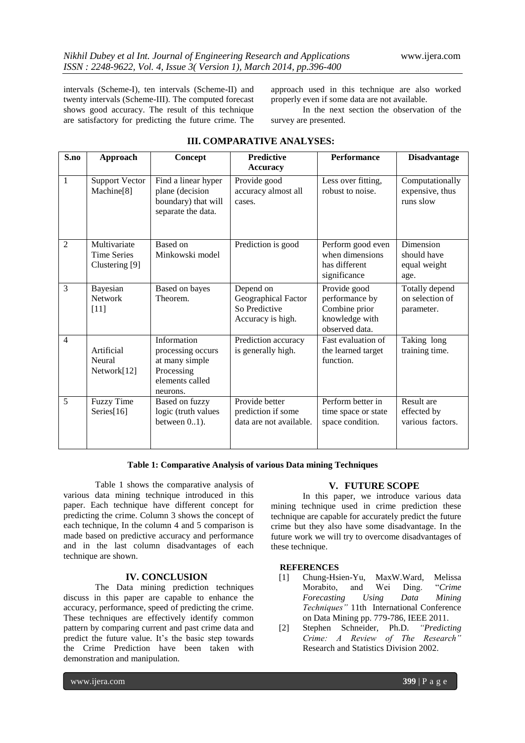intervals (Scheme-I), ten intervals (Scheme-II) and twenty intervals (Scheme-III). The computed forecast shows good accuracy. The result of this technique are satisfactory for predicting the future crime. The

approach used in this technique are also worked properly even if some data are not available.

In the next section the observation of the survey are presented.

| S.no           | Approach                                             | Concept                                                                                         | <b>Predictive</b><br><b>Accuracy</b>                                   | <b>Performance</b>                                                                  | <b>Disadvantage</b>                              |
|----------------|------------------------------------------------------|-------------------------------------------------------------------------------------------------|------------------------------------------------------------------------|-------------------------------------------------------------------------------------|--------------------------------------------------|
| $\mathbf{1}$   | <b>Support Vector</b><br>Machine <sup>[8]</sup>      | Find a linear hyper<br>plane (decision<br>boundary) that will<br>separate the data.             | Provide good<br>accuracy almost all<br>cases.                          | Less over fitting,<br>robust to noise.                                              | Computationally<br>expensive, thus<br>runs slow  |
| $\overline{2}$ | Multivariate<br><b>Time Series</b><br>Clustering [9] | Based on<br>Minkowski model                                                                     | Prediction is good                                                     | Perform good even<br>when dimensions<br>has different<br>significance               | Dimension<br>should have<br>equal weight<br>age. |
| $\overline{3}$ | Bayesian<br><b>Network</b><br>$[11]$                 | Based on bayes<br>Theorem.                                                                      | Depend on<br>Geographical Factor<br>So Predictive<br>Accuracy is high. | Provide good<br>performance by<br>Combine prior<br>knowledge with<br>observed data. | Totally depend<br>on selection of<br>parameter.  |
| $\overline{4}$ | Artificial<br>Neural<br>Network[12]                  | Information<br>processing occurs<br>at many simple<br>Processing<br>elements called<br>neurons. | Prediction accuracy<br>is generally high.                              | Fast evaluation of<br>the learned target<br>function.                               | Taking long<br>training time.                    |
| 5              | <b>Fuzzy Time</b><br>Series $[16]$                   | Based on fuzzy<br>logic (truth values<br>between $0.1$ ).                                       | Provide better<br>prediction if some<br>data are not available.        | Perform better in<br>time space or state<br>space condition.                        | Result are<br>effected by<br>various factors.    |

## **III. COMPARATIVE ANALYSES:**

#### **Table 1: Comparative Analysis of various Data mining Techniques**

Table 1 shows the comparative analysis of various data mining technique introduced in this paper. Each technique have different concept for predicting the crime. Column 3 shows the concept of each technique, In the column 4 and 5 comparison is made based on predictive accuracy and performance and in the last column disadvantages of each technique are shown.

#### **IV. CONCLUSION**

The Data mining prediction techniques discuss in this paper are capable to enhance the accuracy, performance, speed of predicting the crime. These techniques are effectively identify common pattern by comparing current and past crime data and predict the future value. It's the basic step towards the Crime Prediction have been taken with demonstration and manipulation.

## **V. FUTURE SCOPE**

In this paper, we introduce various data mining technique used in crime prediction these technique are capable for accurately predict the future crime but they also have some disadvantage. In the future work we will try to overcome disadvantages of these technique.

#### **REFERENCES**

- [1] Chung-Hsien-Yu, MaxW.Ward, Melissa Morabito, and Wei Ding. "*Crime Forecasting Using Data Mining Techniques"* 11th International Conference on Data Mining pp. 779-786, IEEE 2011.
- [2] Stephen Schneider, Ph.D. *"Predicting Crime: A Review of The Research"* Research and Statistics Division 2002.